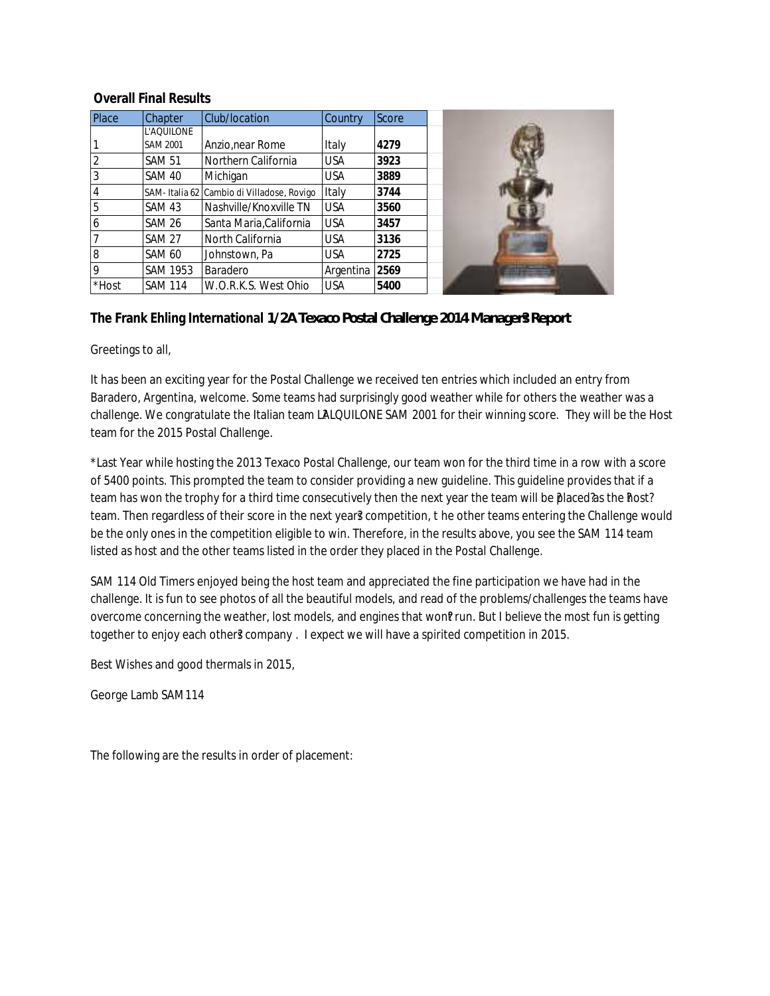## **Overall Final Results**

| Place    | <b>Chapter</b>  | Club/location                             | <b>Country</b> | Score |
|----------|-----------------|-------------------------------------------|----------------|-------|
|          | L'AQUILONE      |                                           |                |       |
|          | <b>SAM 2001</b> | Anzio, near Rome                          | Italy          | 4279  |
|          | <b>SAM 51</b>   | Northern California                       | <b>USA</b>     | 3923  |
|          | SAM 40          | Michigan                                  | <b>USA</b>     | 3889  |
| 4        |                 | SAM-Italia 62 Cambio di Villadose, Rovigo | Italy          | 3744  |
| 5        | <b>SAM 43</b>   | Nashville/Knoxville TN                    | <b>USA</b>     | 3560  |
| 16       | <b>SAM 26</b>   | Santa Maria, California                   | <b>USA</b>     | 3457  |
|          | <b>SAM 27</b>   | North California                          | <b>USA</b>     | 3136  |
| 8        | <b>SAM 60</b>   | Johnstown, Pa                             | <b>USA</b>     | 2725  |
| <b>Q</b> | <b>SAM 1953</b> | Baradero                                  | Argentina      | 2569  |
| *Host    | <b>SAM 114</b>  | W.O.R.K.S. West Ohio                      | <b>USA</b>     | 5400  |

**The Frank Ehling International 1/2A Texaco Postal Challenge 2014 Manager?s Report**

Greetings to all,

It has been an exciting year for the Postal Challenge we received ten entries which included an entry from Baradero, Argentina, welcome. Some teams had surprisingly good weather while for others the weather was a challenge. We congratulate the Italian team LALQUILONE SAM 2001 for their winning score. They will be the Host team for the 2015 Postal Challenge.

\*Last Year while hosting the 2013 Texaco Postal Challenge, our team won for the third time in a row with a score of 5400 points. This prompted the team to consider providing a new guideline. This guideline provides that if a team has won the trophy for a third time consecutively then the next year the team will be placed? as the Phost? team. Then regardless of their score in the next year? competition, t he other teams entering the Challenge would be the only ones in the competition eligible to win. Therefore, in the results above, you see the SAM 114 team listed as host and the other teams listed in the order they placed in the Postal Challenge.

SAM 114 Old Timers enjoyed being the host team and appreciated the fine participation we have had in the challenge. It is fun to see photos of all the beautiful models, and read of the problems/challenges the teams have overcome concerning the weather, lost models, and engines that won?run. But I believe the most fun is getting together to enjoy each other? company . I expect we will have a spirited competition in 2015.

Best Wishes and good thermals in 2015,

George Lamb SAM114

The following are the results in order of placement: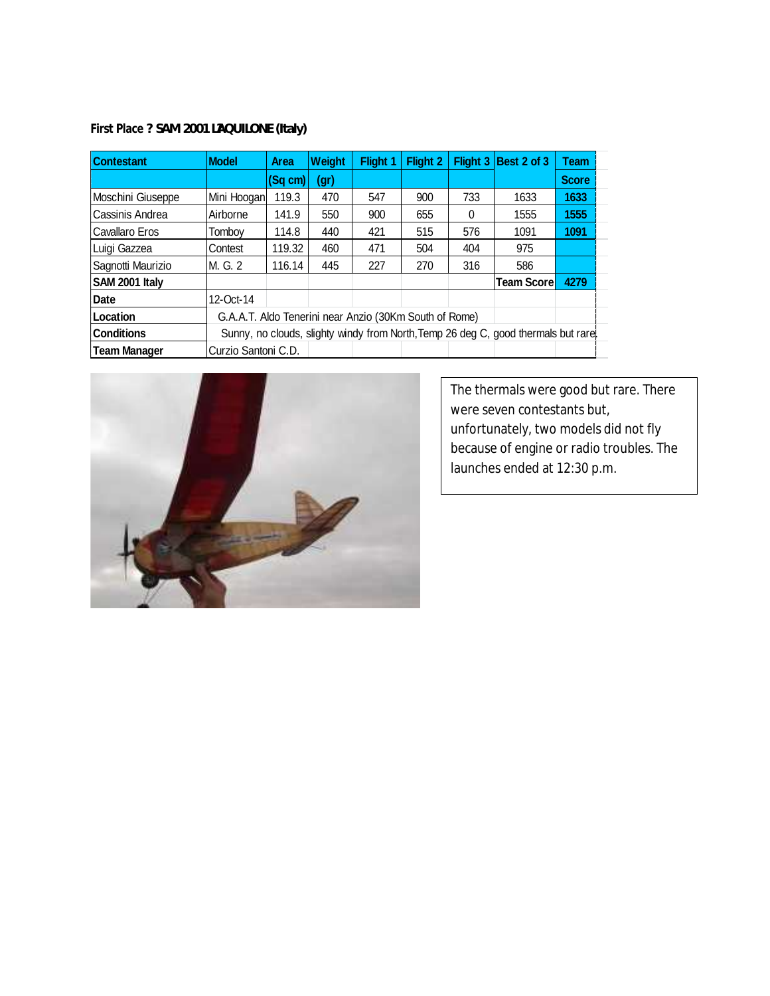First Place ? **SAM 2001 LAQUILONE (Italy)** 

| <b>Contestant</b>   | <b>Model</b>                                           | <b>Area</b> | Weight | <b>Flight 1</b> | <b>Flight 2</b> | <b>Flight 3</b> | Best 2 of 3                                                                        | Team         |
|---------------------|--------------------------------------------------------|-------------|--------|-----------------|-----------------|-----------------|------------------------------------------------------------------------------------|--------------|
|                     |                                                        | (Sg cm)     | (gr)   |                 |                 |                 |                                                                                    | <b>Score</b> |
| Moschini Giuseppe   | Mini Hoogan                                            | 119.3       | 470    | 547             | 900             | 733             | 1633                                                                               | 1633         |
| Cassinis Andrea     | Airborne                                               | 141.9       | 550    | 900             | 655             | 0               | 1555                                                                               | 1555         |
| Cavallaro Eros      | Tombov                                                 | 114.8       | 440    | 421             | 515             | 576             | 1091                                                                               | 1091         |
| Luigi Gazzea        | Contest                                                | 119.32      | 460    | 471             | 504             | 404             | 975                                                                                |              |
| Sagnotti Maurizio   | M. G. 2                                                | 116.14      | 445    | 227             | 270             | 316             | 586                                                                                |              |
| SAM 2001 Italy      |                                                        |             |        |                 |                 |                 | Team Scorel                                                                        | 4279         |
| Date                | 12-Oct-14                                              |             |        |                 |                 |                 |                                                                                    |              |
| Location            | G.A.A.T. Aldo Tenerini near Anzio (30Km South of Rome) |             |        |                 |                 |                 |                                                                                    |              |
| <b>Conditions</b>   |                                                        |             |        |                 |                 |                 | Sunny, no clouds, slighty windy from North, Temp 26 deg C, good thermals but rare. |              |
| <b>Team Manager</b> | Curzio Santoni C.D.                                    |             |        |                 |                 |                 |                                                                                    |              |



The thermals were good but rare. There were seven contestants but, unfortunately, two models did not fly because of engine or radio troubles. The launches ended at 12:30 p.m.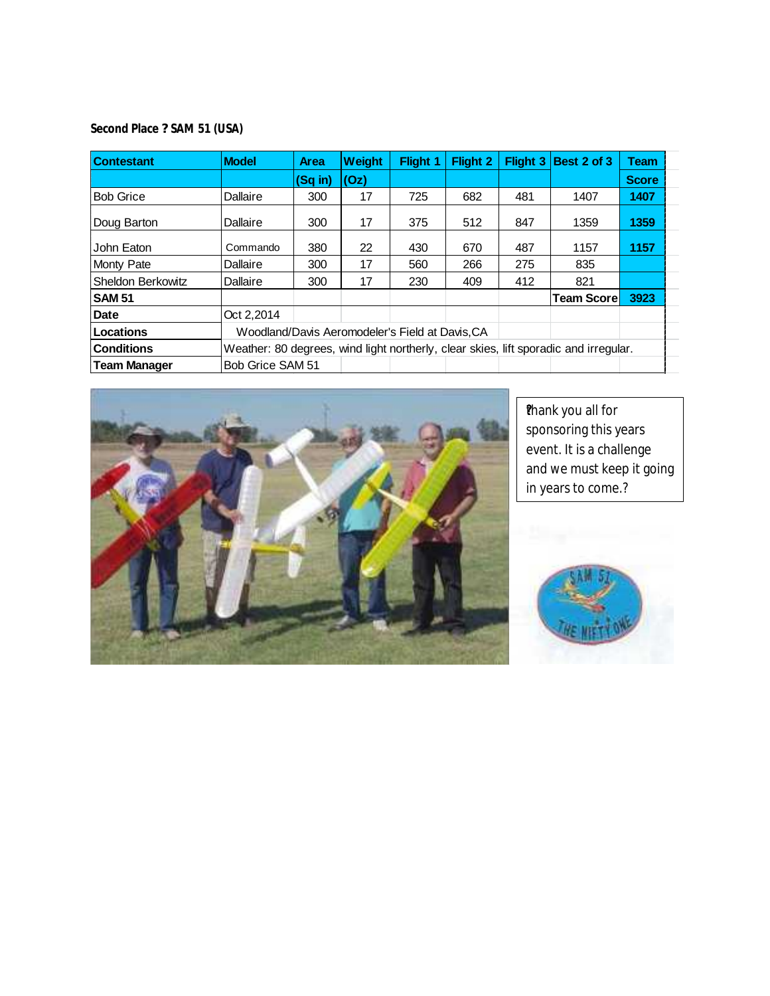**Second Place ? SAM 51 (USA)**

| <b>Contestant</b>   | <b>Model</b>     | <b>Area</b> | Weight | <b>Flight 1</b>                                 | Flight 2 | Flight 3 | Best 2 of 3                                                                          | Team         |  |
|---------------------|------------------|-------------|--------|-------------------------------------------------|----------|----------|--------------------------------------------------------------------------------------|--------------|--|
|                     |                  | (Sq in)     | (Oz)   |                                                 |          |          |                                                                                      | <b>Score</b> |  |
| <b>Bob Grice</b>    | Dallaire         | 300         | 17     | 725                                             | 682      | 481      | 1407                                                                                 | 1407         |  |
| Doug Barton         | Dallaire         | 300         | 17     | 375                                             | 512      | 847      | 1359                                                                                 | 1359         |  |
| John Eaton          | Commando         | 380         | 22     | 430                                             | 670      | 487      | 1157                                                                                 | 1157         |  |
| Monty Pate          | Dallaire         | 300         | 17     | 560                                             | 266      | 275      | 835                                                                                  |              |  |
| Sheldon Berkowitz   | Dallaire         | 300         | 17     | 230                                             | 409      | 412      | 821                                                                                  |              |  |
| <b>SAM 51</b>       |                  |             |        |                                                 |          |          | <b>Team Scorel</b>                                                                   | 3923         |  |
| <b>Date</b>         | Oct 2.2014       |             |        |                                                 |          |          |                                                                                      |              |  |
| <b>Locations</b>    |                  |             |        | Woodland/Davis Aeromodeler's Field at Davis, CA |          |          |                                                                                      |              |  |
| <b>Conditions</b>   |                  |             |        |                                                 |          |          | Weather: 80 degrees, wind light northerly, clear skies, lift sporadic and irregular. |              |  |
| <b>Team Manager</b> | Bob Grice SAM 51 |             |        |                                                 |          |          |                                                                                      |              |  |



**Thank you all for** sponsoring this years event. It is a challenge and we must keep it going in years to come.?

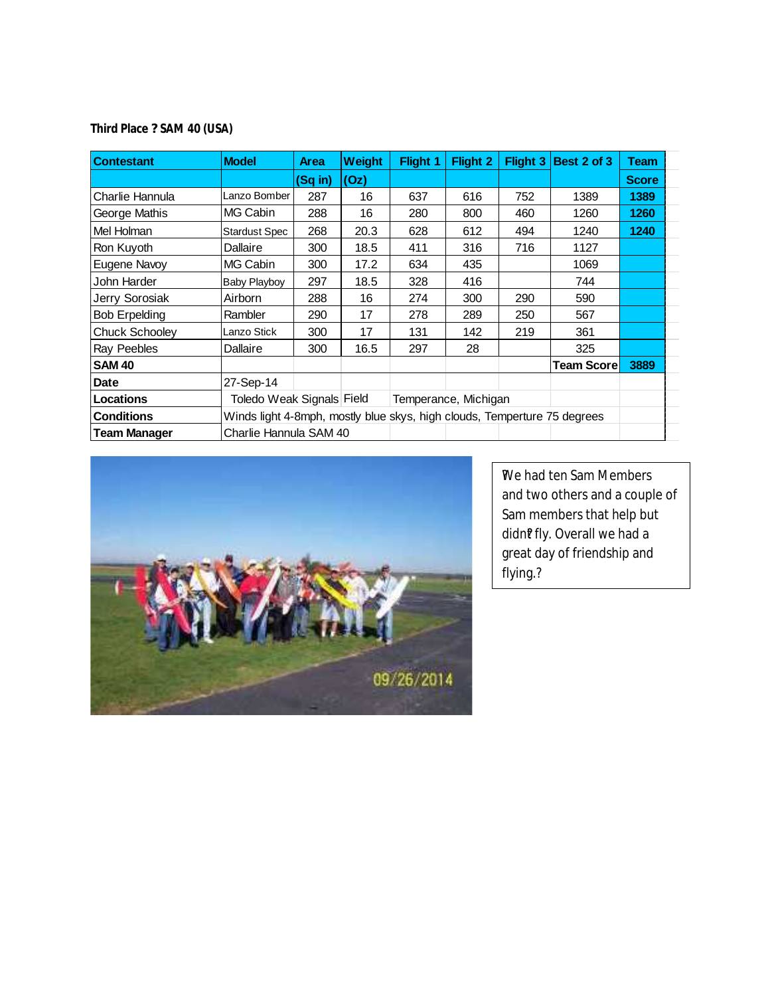**Third Place ? SAM 40 (USA)**

| <b>Contestant</b>     | <b>Model</b>                                                             | <b>Area</b> | Weight | <b>Flight 1</b> | <b>Flight 2</b>      | <b>Flight 3</b> | Best 2 of 3        | Team         |  |
|-----------------------|--------------------------------------------------------------------------|-------------|--------|-----------------|----------------------|-----------------|--------------------|--------------|--|
|                       |                                                                          | (Sq in)     | (Oz)   |                 |                      |                 |                    | <b>Score</b> |  |
| Charlie Hannula       | Lanzo Bomber                                                             | 287         | 16     | 637             | 616                  | 752             | 1389               | 1389         |  |
| George Mathis         | MG Cabin                                                                 | 288         | 16     | 280             | 800                  | 460             | 1260               | 1260         |  |
| Mel Holman            | <b>Stardust Spec</b>                                                     | 268         | 20.3   | 628             | 612                  | 494             | 1240               | 1240         |  |
| Ron Kuyoth            | Dallaire                                                                 | 300         | 18.5   | 411             | 316                  | 716             | 1127               |              |  |
| Eugene Navoy          | MG Cabin                                                                 | 300         | 17.2   | 634             | 435                  |                 | 1069               |              |  |
| John Harder           | <b>Baby Playboy</b>                                                      | 297         | 18.5   | 328             | 416                  |                 | 744                |              |  |
| Jerry Sorosiak        | Airborn                                                                  | 288         | 16     | 274             | 300                  | 290             | 590                |              |  |
| <b>Bob Erpelding</b>  | Rambler                                                                  | 290         | 17     | 278             | 289                  | 250             | 567                |              |  |
| <b>Chuck Schooley</b> | Lanzo Stick                                                              | 300         | 17     | 131             | 142                  | 219             | 361                |              |  |
| Ray Peebles           | Dallaire                                                                 | 300         | 16.5   | 297             | 28                   |                 | 325                |              |  |
| <b>SAM 40</b>         |                                                                          |             |        |                 |                      |                 | <b>Team Scorel</b> | 3889         |  |
| Date                  | 27-Sep-14                                                                |             |        |                 |                      |                 |                    |              |  |
| Locations             | Toledo Weak Signals Field                                                |             |        |                 | Temperance, Michigan |                 |                    |              |  |
| <b>Conditions</b>     | Winds light 4-8mph, mostly blue skys, high clouds, Temperture 75 degrees |             |        |                 |                      |                 |                    |              |  |
| <b>Team Manager</b>   | Charlie Hannula SAM 40                                                   |             |        |                 |                      |                 |                    |              |  |



We had ten Sam Members and two others and a couple of Sam members that help but didn?fly. Overall we had a great day of friendship and flying.?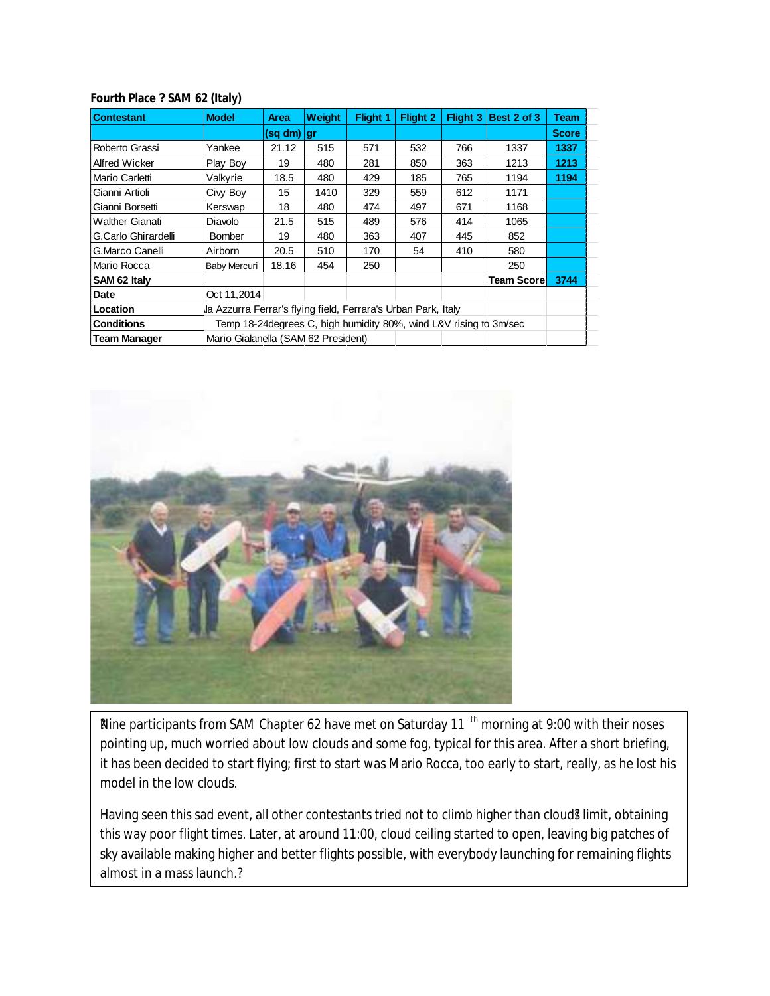| <b>Contestant</b>   | <b>Model</b>                                                  | <b>Area</b> | <b>Weight</b> | Flight 1                                                           | <b>Flight 2</b> | Flight 3 | Best 2 of 3       | <b>Team</b>  |
|---------------------|---------------------------------------------------------------|-------------|---------------|--------------------------------------------------------------------|-----------------|----------|-------------------|--------------|
|                     |                                                               | (sq dm)  gr |               |                                                                    |                 |          |                   | <b>Score</b> |
| Roberto Grassi      | Yankee                                                        | 21.12       | 515           | 571                                                                | 532             | 766      | 1337              | 1337         |
| Alfred Wicker       | Play Boy                                                      | 19          | 480           | 281                                                                | 850             | 363      | 1213              | 1213         |
| Mario Carletti      | Valkyrie                                                      | 18.5        | 480           | 429                                                                | 185             | 765      | 1194              | 1194         |
| Gianni Artioli      | Ciw Boy                                                       | 15          | 1410          | 329                                                                | 559             | 612      | 1171              |              |
| Gianni Borsetti     | Kerswap                                                       | 18          | 480           | 474                                                                | 497             | 671      | 1168              |              |
| Walther Gianati     | Diavolo                                                       | 21.5        | 515           | 489                                                                | 576             | 414      | 1065              |              |
| G.Carlo Ghirardelli | <b>Bomber</b>                                                 | 19          | 480           | 363                                                                | 407             | 445      | 852               |              |
| G.Marco Canelli     | Airborn                                                       | 20.5        | 510           | 170                                                                | 54              | 410      | 580               |              |
| Mario Rocca         | <b>Baby Mercuri</b>                                           | 18.16       | 454           | 250                                                                |                 |          | 250               |              |
| SAM 62 Italy        |                                                               |             |               |                                                                    |                 |          | <b>Team Score</b> | 3744         |
| Date                | Oct 11,2014                                                   |             |               |                                                                    |                 |          |                   |              |
| Location            | la Azzurra Ferrar's flying field, Ferrara's Urban Park, Italy |             |               |                                                                    |                 |          |                   |              |
| Conditions          |                                                               |             |               | Temp 18-24 degrees C, high humidity 80%, wind L&V rising to 3m/sec |                 |          |                   |              |
| <b>Team Manager</b> | Mario Gialanella (SAM 62 President)                           |             |               |                                                                    |                 |          |                   |              |

**Fourth Place ? SAM 62 (Italy)**



Rine participants from SAM Chapter 62 have met on Saturday 11<sup>th</sup> morning at 9:00 with their noses pointing up, much worried about low clouds and some fog, typical for this area. After a short briefing, it has been decided to start flying; first to start was Mario Rocca, too early to start, really, as he lost his model in the low clouds.

**Fighthall and in a mass launch.** Having seen this sad event, all other contestants tried not to climb higher than cloud? limit, obtaining this way poor flight times. Later, at around 11:00, cloud ceiling started to open, leaving big patches of sky available making higher and better flights possible, with everybody launching for remaining flights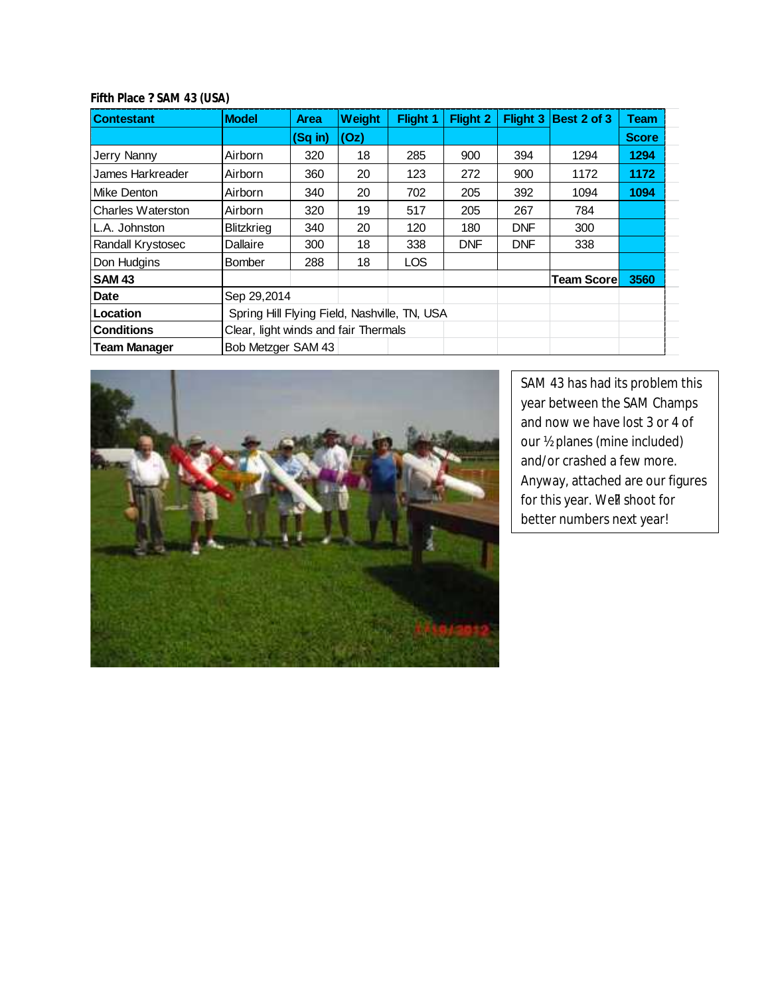| <b>Contestant</b>        | <b>Model</b>                                 | <b>Area</b> | Weight | Flight 1   | <b>Flight 2</b> |            | Flight $3$ Best 2 of 3 | <b>Team</b>  |
|--------------------------|----------------------------------------------|-------------|--------|------------|-----------------|------------|------------------------|--------------|
|                          |                                              | $(Sq$ in)   | (Oz)   |            |                 |            |                        | <b>Score</b> |
| Jerry Nanny              | Airborn                                      | 320         | 18     | 285        | 900             | 394        | 1294                   | 1294         |
| James Harkreader         | Airborn                                      | 360         | 20     | 123        | 272             | 900        | 1172                   | 1172         |
| Mike Denton              | Airborn                                      | 340         | 20     | 702        | 205             | 392        | 1094                   | 1094         |
| <b>Charles Waterston</b> | Airborn                                      | 320         | 19     | 517        | 205             | 267        | 784                    |              |
| L.A. Johnston            | <b>Blitzkrieg</b>                            | 340         | 20     | 120        | 180             | <b>DNF</b> | 300                    |              |
| Randall Krystosec        | Dallaire                                     | 300         | 18     | 338        | <b>DNF</b>      | <b>DNF</b> | 338                    |              |
| Don Hudgins              | <b>Bomber</b>                                | 288         | 18     | <b>LOS</b> |                 |            |                        |              |
| <b>SAM 43</b>            |                                              |             |        |            |                 |            | <b>Team Scorel</b>     | 3560         |
| Date                     | Sep 29,2014                                  |             |        |            |                 |            |                        |              |
| Location                 | Spring Hill Flying Field, Nashville, TN, USA |             |        |            |                 |            |                        |              |
| <b>Conditions</b>        | Clear, light winds and fair Thermals         |             |        |            |                 |            |                        |              |
| <b>Team Manager</b>      | Bob Metzger SAM 43                           |             |        |            |                 |            |                        |              |

**Fifth Place ? SAM 43 (USA)**



SAM 43 has had its problem this year between the SAM Champs and now we have lost 3 or 4 of our ½ planes (mine included) and/or crashed a few more. Anyway, attached are our figures for this year. We! shoot for better numbers next year!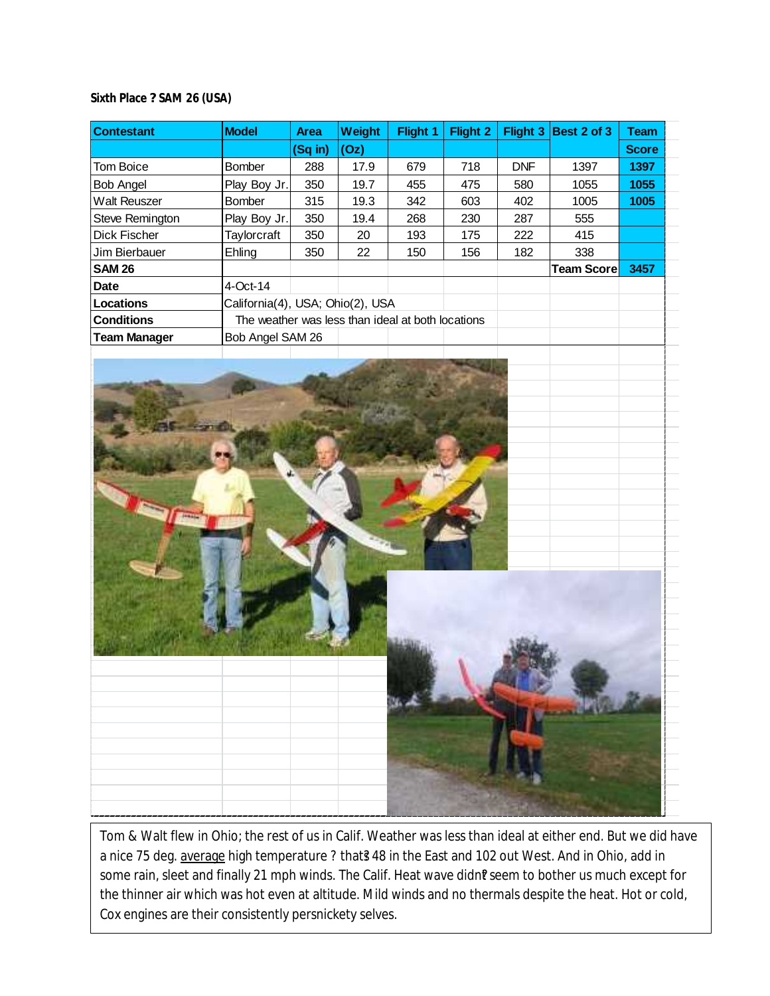## **Sixth Place ? SAM 26 (USA)**

| <b>Contestant</b>   | <b>Model</b>                                      | Area    | Weight | Flight 1 | <b>Flight 2</b> |            | Flight 3 Best 2 of 3 | <b>Team</b>  |  |
|---------------------|---------------------------------------------------|---------|--------|----------|-----------------|------------|----------------------|--------------|--|
|                     |                                                   | (Sq in) | (Oz)   |          |                 |            |                      | <b>Score</b> |  |
| Tom Boice           | Bomber                                            | 288     | 17.9   | 679      | 718             | <b>DNF</b> | 1397                 | 1397         |  |
| <b>Bob Angel</b>    | Play Boy Jr.                                      | 350     | 19.7   | 455      | 475             | 580        | 1055                 | 1055         |  |
| <b>Walt Reuszer</b> | <b>Bomber</b>                                     | 315     | 19.3   | 342      | 603             | 402        | 1005                 | 1005         |  |
| Steve Remington     | Play Boy Jr.                                      | 350     | 19.4   | 268      | 230             | 287        | 555                  |              |  |
| Dick Fischer        | Taylorcraft                                       | 350     | 20     | 193      | 175             | 222        | 415                  |              |  |
| Jim Bierbauer       | Ehling                                            | 350     | 22     | 150      | 156             | 182        | 338                  |              |  |
| <b>SAM 26</b>       |                                                   |         |        |          |                 |            | <b>Team Score</b>    | 3457         |  |
| <b>Date</b>         | 4-Oct-14                                          |         |        |          |                 |            |                      |              |  |
| Locations           | California(4), USA; Ohio(2), USA                  |         |        |          |                 |            |                      |              |  |
| <b>Conditions</b>   | The weather was less than ideal at both locations |         |        |          |                 |            |                      |              |  |
| <b>Team Manager</b> | Bob Angel SAM 26                                  |         |        |          |                 |            |                      |              |  |
|                     |                                                   |         |        |          |                 |            |                      |              |  |
|                     |                                                   |         |        |          |                 |            |                      |              |  |
|                     |                                                   |         |        |          |                 |            |                      |              |  |

Tom & Walt flew in Ohio; the rest of us in Calif. Weather was less than ideal at either end. But we did have a nice 75 deg. average high temperature ? that? 48 in the East and 102 out West. And in Ohio, add in some rain, sleet and finally 21 mph winds. The Calif. Heat wave didn? seem to bother us much except for the thinner air which was hot even at altitude. Mild winds and no thermals despite the heat. Hot or cold, Cox engines are their consistently persnickety selves.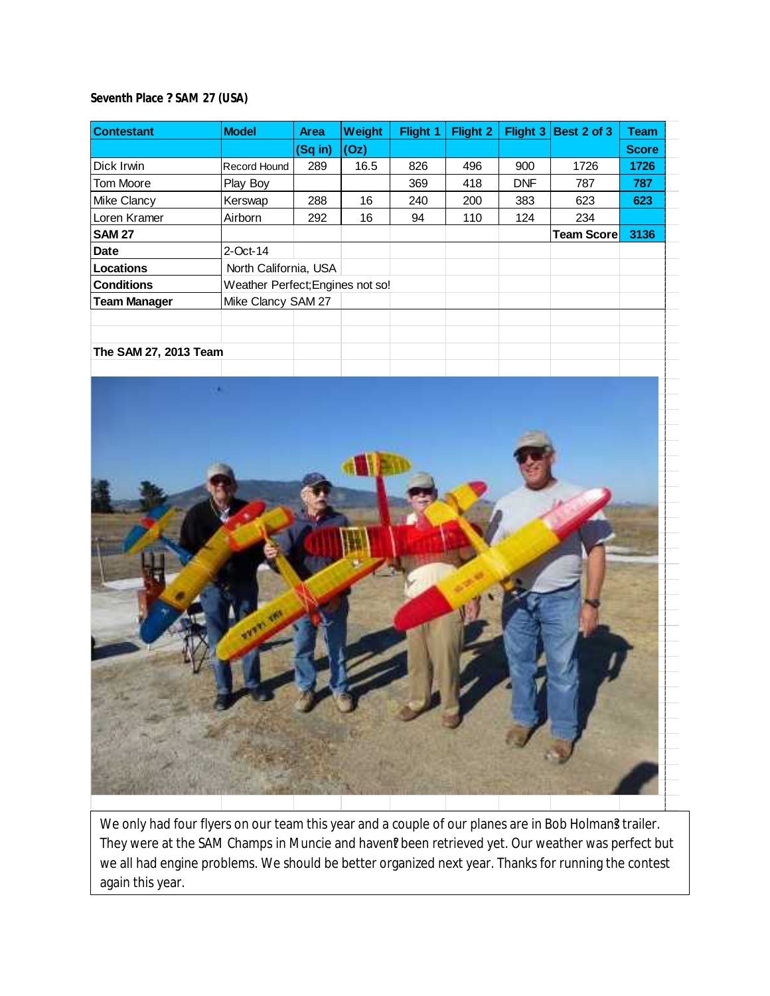**Seventh Place ? SAM 27 (USA)**

| <b>Contestant</b>     | <b>Model</b>                     | <b>Area</b> | Weight | Flight 1 | Flight 2 | Flight 3   | Best 2 of 3        | <b>Team</b>  |  |
|-----------------------|----------------------------------|-------------|--------|----------|----------|------------|--------------------|--------------|--|
|                       |                                  | (Sq in)     | (Oz)   |          |          |            |                    | <b>Score</b> |  |
| Dick Irwin            | Record Hound                     | 289         | 16.5   | 826      | 496      | 900        | 1726               | 1726         |  |
| <b>Tom Moore</b>      | Play Boy                         |             |        | 369      | 418      | <b>DNF</b> | 787                | 787          |  |
| <b>Mike Clancy</b>    | Kerswap                          | 288         | 16     | 240      | 200      | 383        | 623                | 623          |  |
| Loren Kramer          | Airborn                          | 292         | 16     | 94       | 110      | 124        | 234                |              |  |
| <b>SAM 27</b>         |                                  |             |        |          |          |            | <b>Team Scorel</b> | 3136         |  |
| Date                  | 2-Oct-14                         |             |        |          |          |            |                    |              |  |
| Locations             | North California, USA            |             |        |          |          |            |                    |              |  |
| <b>Conditions</b>     | Weather Perfect; Engines not so! |             |        |          |          |            |                    |              |  |
| <b>Team Manager</b>   | Mike Clancy SAM 27               |             |        |          |          |            |                    |              |  |
|                       |                                  |             |        |          |          |            |                    |              |  |
|                       |                                  |             |        |          |          |            |                    |              |  |
| The SAM 27, 2013 Team |                                  |             |        |          |          |            |                    |              |  |



We only had four flyers on our team this year and a couple of our planes are in Bob Holman? trailer. They were at the SAM Champs in Muncie and haven? been retrieved yet. Our weather was perfect but we all had engine problems. We should be better organized next year. Thanks for running the contest again this year.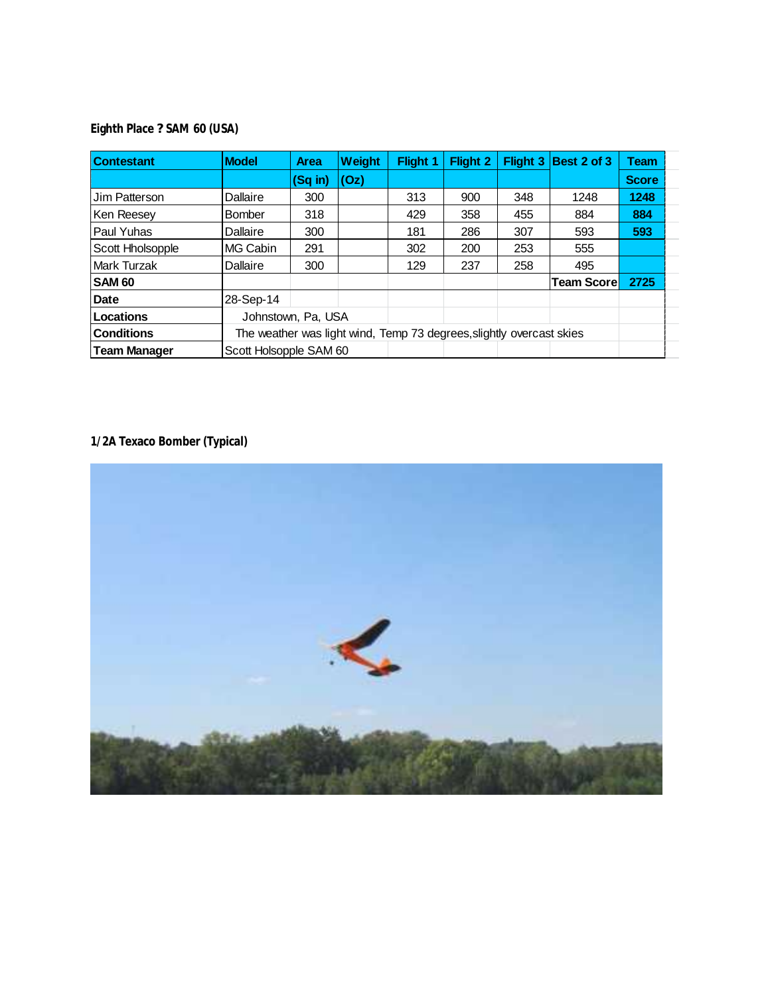**Eighth Place ? SAM 60 (USA)**

| <b>Contestant</b>   | <b>Model</b>           | <b>Area</b> | Weight | <b>Flight 1</b>                                                      | <b>Flight 2</b> |     | Flight 3   Best 2 of 3 | Team         |  |
|---------------------|------------------------|-------------|--------|----------------------------------------------------------------------|-----------------|-----|------------------------|--------------|--|
|                     |                        | $(Sq$ in)   | (Oz)   |                                                                      |                 |     |                        | <b>Score</b> |  |
| Jim Patterson       | Dallaire               | 300         |        | 313                                                                  | 900             | 348 | 1248                   | 1248         |  |
| Ken Reesey          | Bomber                 | 318         |        | 429                                                                  | 358             | 455 | 884                    | 884          |  |
| Paul Yuhas          | Dallaire               | 300         |        | 181                                                                  | 286             | 307 | 593                    | 593          |  |
| Scott Hholsopple    | MG Cabin               | 291         |        | 302                                                                  | 200             | 253 | 555                    |              |  |
| Mark Turzak         | Dallaire               | 300         |        | 129                                                                  | 237             | 258 | 495                    |              |  |
| <b>SAM 60</b>       |                        |             |        |                                                                      |                 |     | <b>Team Scorel</b>     | 2725         |  |
| Date                | 28-Sep-14              |             |        |                                                                      |                 |     |                        |              |  |
| Locations           | Johnstown, Pa, USA     |             |        |                                                                      |                 |     |                        |              |  |
| <b>Conditions</b>   |                        |             |        | The weather was light wind, Temp 73 degrees, slightly overcast skies |                 |     |                        |              |  |
| <b>Team Manager</b> | Scott Holsopple SAM 60 |             |        |                                                                      |                 |     |                        |              |  |

**1/2A Texaco Bomber (Typical)**

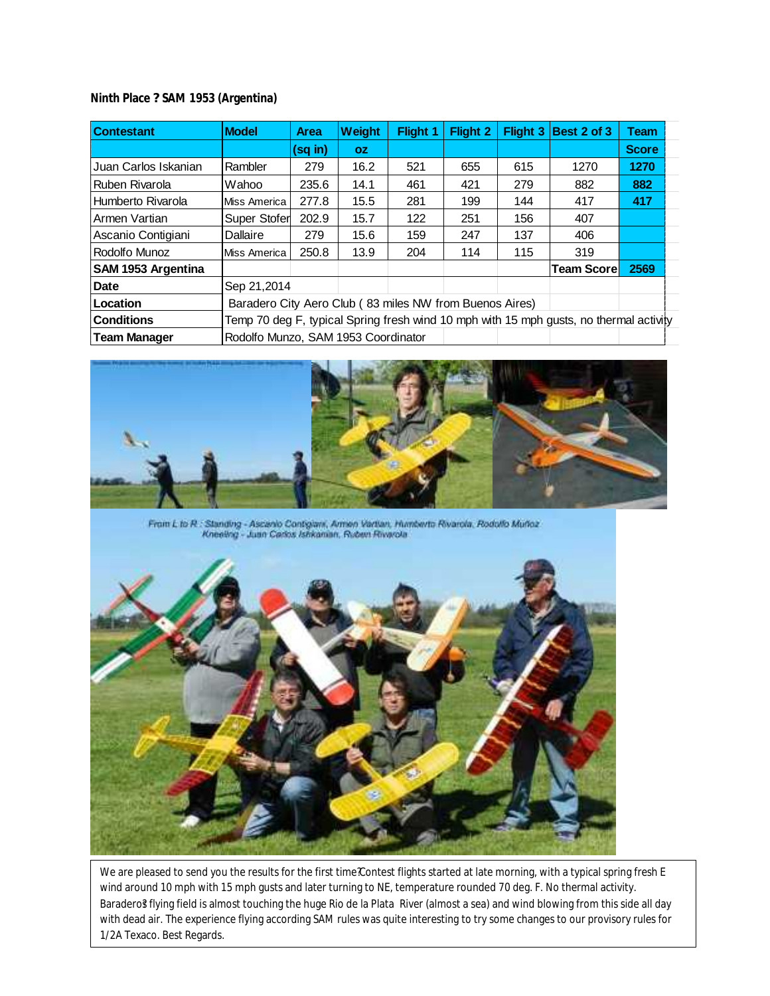## **Ninth Place ? SAM 1953 (Argentina)**

| <b>Contestant</b>    | <b>Model</b>                                            | <b>Area</b> | Weight    | <b>Flight 1</b> | <b>Flight 2</b> | Flight 3 | Best 2 of 3                                                                            | Team         |
|----------------------|---------------------------------------------------------|-------------|-----------|-----------------|-----------------|----------|----------------------------------------------------------------------------------------|--------------|
|                      |                                                         | (sq in)     | <b>OZ</b> |                 |                 |          |                                                                                        | <b>Score</b> |
| Juan Carlos Iskanian | Rambler                                                 | 279         | 16.2      | 521             | 655             | 615      | 1270                                                                                   | 1270         |
| Ruben Rivarola       | Wahoo                                                   | 235.6       | 14.1      | 461             | 421             | 279      | 882                                                                                    | 882          |
| Humberto Rivarola    | <b>Miss America</b>                                     | 277.8       | 15.5      | 281             | 199             | 144      | 417                                                                                    | 417          |
| Armen Vartian        | Super Stofer                                            | 202.9       | 15.7      | 122             | 251             | 156      | 407                                                                                    |              |
| Ascanio Contigiani   | Dallaire                                                | 279         | 15.6      | 159             | 247             | 137      | 406                                                                                    |              |
| Rodolfo Munoz        | <b>Miss America</b>                                     | 250.8       | 13.9      | 204             | 114             | 115      | 319                                                                                    |              |
| SAM 1953 Argentina   |                                                         |             |           |                 |                 |          | <b>Team Scorel</b>                                                                     | 2569         |
| Date                 | Sep 21,2014                                             |             |           |                 |                 |          |                                                                                        |              |
| Location             | Baradero City Aero Club (83 miles NW from Buenos Aires) |             |           |                 |                 |          |                                                                                        |              |
| <b>Conditions</b>    |                                                         |             |           |                 |                 |          | Temp 70 deg F, typical Spring fresh wind 10 mph with 15 mph gusts, no thermal activity |              |
| <b>Team Manager</b>  | Rodolfo Munzo, SAM 1953 Coordinator                     |             |           |                 |                 |          |                                                                                        |              |



From L to R : Standing - Ascanio Contigians, Armen Vertian, Mumberto Rivarola, Rodotto Muñoz - Kneeling - Juan Carlos Istricanian, Ruben Rivarola



We are pleased to send you the results for the first time ?Contest flights started at late morning, with a typical spring fresh E wind around 10 mph with 15 mph gusts and later turning to NE, temperature rounded 70 deg. F. No thermal activity. Baradero? flying field is almost touching the huge Rio de la Plata River (almost a sea) and wind blowing from this side all day with dead air. The experience flying according SAM rules was quite interesting to try some changes to our provisory rules for 1/2A Texaco. Best Regards.